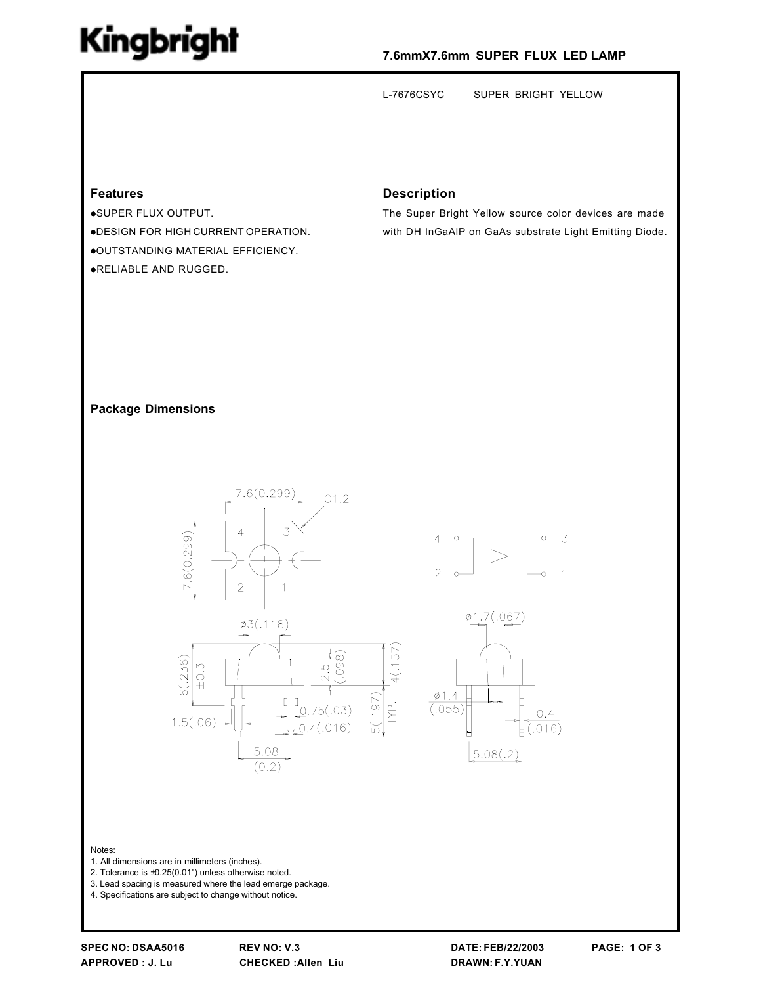## Kingbright

### 7.6mmX7.6mm SUPER FLUX LED LAMP

SUPER BRIGHT YELLOW L-7676CSYC

### **Features**

·SUPER FLUX OUTPUT. . DESIGN FOR HIGH CURRENT OPERATION. .OUTSTANDING MATERIAL EFFICIENCY. .RELIABLE AND RUGGED.

#### **Description**

The Super Bright Yellow source color devices are made with DH InGaAIP on GaAs substrate Light Emitting Diode.

#### **Package Dimensions**









Notes:

- 1. All dimensions are in millimeters (inches).
- 2. Tolerance is  $\pm 0.25(0.01")$  unless otherwise noted.
- 3. Lead spacing is measured where the lead emerge package.
- 4. Specifications are subject to change without notice.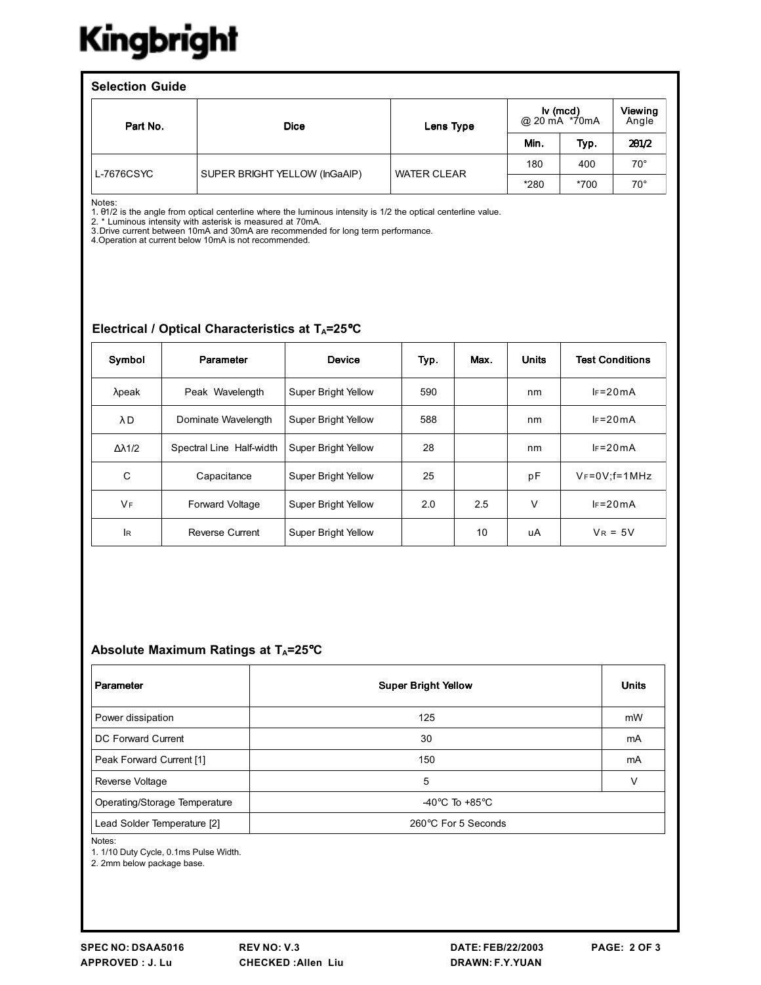# Kingbright

| <b>Selection Guide</b> |            |                               |                    |                                                |        |                  |  |  |
|------------------------|------------|-------------------------------|--------------------|------------------------------------------------|--------|------------------|--|--|
|                        | Part No.   | <b>Dice</b>                   | Lens Type          | $\mathsf{I} \mathsf{v}$ (mcd)<br>@ 20 mA *70mA |        | Viewing<br>Angle |  |  |
|                        |            |                               |                    | Min.                                           | Typ.   | 201/2            |  |  |
|                        | L-7676CSYC | SUPER BRIGHT YELLOW (InGaAIP) | <b>WATER CLEAR</b> | 180                                            | 400    | $70^{\circ}$     |  |  |
|                        |            |                               |                    | *280                                           | $*700$ | $70^{\circ}$     |  |  |

Notes:<br>1. 01/2 is the angle from optical centerline where the luminous intensity is 1/2 the optical centerline value.<br>2. \* Luminous intensity with asterisk is measured at 70mA.<br>3. Drive current between 10mA and 30mA are re

#### Electrical / Optical Characteristics at TA=25°C

| Symbol    | Parameter                | <b>Device</b>              | Typ. | Max. | <b>Units</b> | <b>Test Conditions</b> |
|-----------|--------------------------|----------------------------|------|------|--------------|------------------------|
| $λ$ peak  | Peak Wavelength          | Super Bright Yellow        | 590  |      | nm           | $IF = 20mA$            |
| λD        | Dominate Wavelength      | Super Bright Yellow        | 588  |      | nm           | $IF = 20mA$            |
| Δλ1/2     | Spectral Line Half-width | Super Bright Yellow        | 28   |      | nm           | $IF = 20mA$            |
| C         | Capacitance              | Super Bright Yellow        | 25   |      | pF           | $V_F = 0V$ : f= 1 MHz  |
| <b>VF</b> | <b>Forward Voltage</b>   | <b>Super Bright Yellow</b> | 2.0  | 2.5  | $\vee$       | $IF = 20mA$            |
| lR.       | Reverse Current          | <b>Super Bright Yellow</b> |      | 10   | uA           | $V_R = 5V$             |

#### Absolute Maximum Ratings at TA=25°C

| Parameter                     | <b>Super Bright Yellow</b>         | <b>Units</b> |
|-------------------------------|------------------------------------|--------------|
| Power dissipation             | 125                                | mW           |
| DC Forward Current            | 30                                 | mA           |
| Peak Forward Current [1]      | 150                                | mA           |
| Reverse Voltage               | 5                                  | ν            |
| Operating/Storage Temperature | -40 $\degree$ C To +85 $\degree$ C |              |
| Lead Solder Temperature [2]   | 260°C For 5 Seconds                |              |

Notes:

1. 1/10 Duty Cycle, 0.1ms Pulse Width.

2. 2mm below package base.